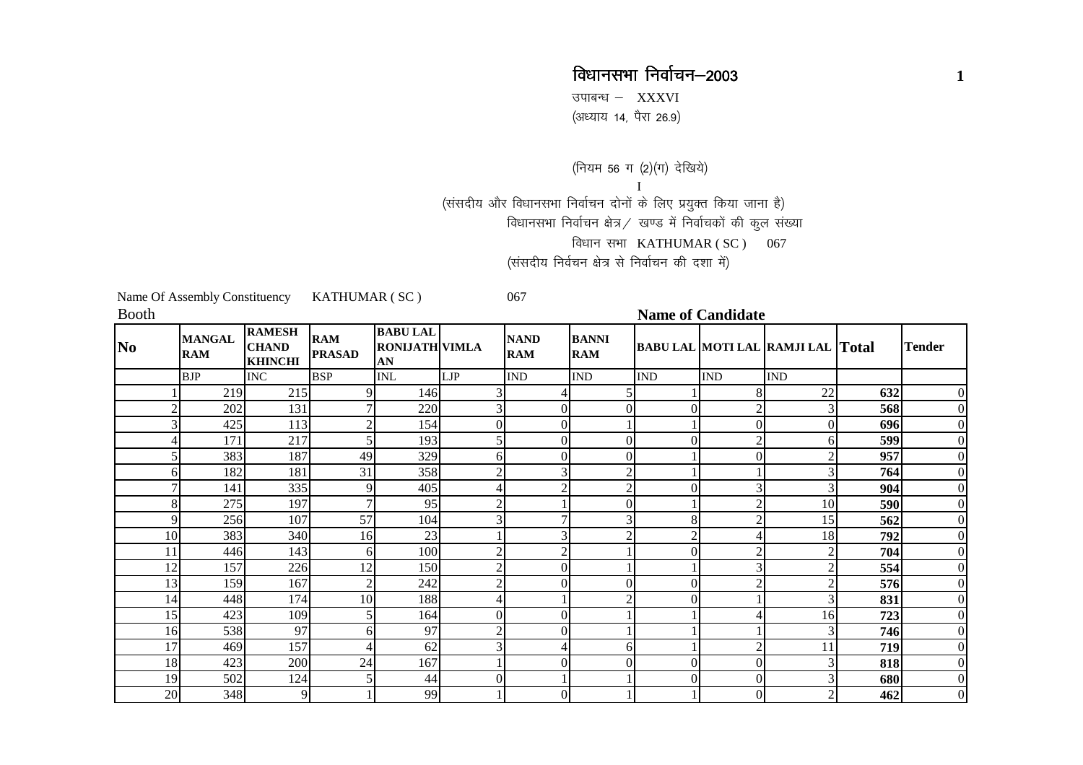## विधानसभा निर्वाचन–2003 **<sup>1</sup>**

उपाबन्ध  $-$  XXXVI (अध्याय 14, पैरा 26.9)

(नियम 56 ग (2) (ग) देखिये) I(संसदीय और विधानसभा निर्वाचन दोनों के लिए प्रयुक्त किया जाना है) विधानसभा निर्वाचन क्षेत्र $\angle$  खण्ड में निर्वाचकों की कुल संख्या विधान सभा KATHUMAR ( SC ) 067 (संसदीय निर्वचन क्षेत्र से निर्वाचन की दशा में)

Name Of Assembly Constituency KATHUMAR ( SC ) 067 **Booth Name of Candidate NoMANGAL**<br>RAM **RAMESH<br>CHAND<br>KHINCHI**<br>INC **RAM BABU LAL<br>
<b>PRASAD RONIJATH VIMLA**<br>
BSP INL LJP **NAND BANNI BABU LAL**<br>**MOTI LAL**<br>**RAM RAM BABU LAL**<br>**IND IND IND IND** BJP INC BSP INL LJP IND IND IND IND IND1 219 215 9 146 3 4 5 1 8 22  $\frac{22}{3}$   $\frac{632}{568}$  $\frac{2}{1}$  0 2 202 131 7 220 3 0 0 0 2 3  $\frac{3}{0}$  568  $\frac{8}{10}$  0  $3$  425 113 2 154 0 0 1 1 0 0  $\begin{array}{c|c}\n0 & 696 \\
\hline\n6 & 599\n\end{array}$  $\begin{array}{ccc} 6 & & 0 \end{array}$ 4 171 217 5 193 5 0 0 0 2 6 **<sup>599</sup>** $\overline{9}$  0 5 383 187 49 329 6 0 0 1 0 1  $\frac{2}{3}$  957  $\frac{7}{2}$  0 6 182 181 31 358 2 3 2 1 1 3  $\frac{3}{3}$   $\frac{764}{904}$ 4 0 7 141 335 9 405 4 2 2 0 3 3  $\frac{3}{10}$  904 4 0  $8$  275 197 7 95 2 1 0 1 2 10  $\frac{10}{15}$  590  $\frac{0}{0}$ 9 256 107 57 104 3 7 3 8 2 15 15 562<br>18 792  $\frac{2}{1}$  0 10 383 340 16 23 1 3 2 2 4 18 **<sup>792</sup>** $\frac{2}{1}$  0 11 446 143 6 100 2 2 1 0 2 22 704<br>2 554 4 0 12 157 226 12 150 2 0 1 1 3 2 $\frac{2}{2}$  554<br>576 4 0  $13$  159 167 2 242 2 0 0 0 2 2  $\frac{2}{3}$  576  $\begin{array}{ccc} 6 & & 0 \end{array}$ 14 448 174 10 188 4 1 2 0 1 3 16 831  $\frac{1}{\sqrt{1-\frac{1}{\sqrt{1-\frac{1}{\sqrt{1-\frac{1}{\sqrt{1-\frac{1}{\sqrt{1-\frac{1}{\sqrt{1-\frac{1}{\sqrt{1-\frac{1}{\sqrt{1-\frac{1}{\sqrt{1-\frac{1}{\sqrt{1-\frac{1}{\sqrt{1-\frac{1}{\sqrt{1-\frac{1}{\sqrt{1-\frac{1}{\sqrt{1-\frac{1}{\sqrt{1-\frac{1}{\sqrt{1-\frac{1}{\sqrt{1-\frac{1}{\sqrt{1-\frac{1}{\sqrt{1-\frac{1}{\sqrt{1-\frac{1}{\sqrt{1-\frac{1}{\sqrt{1-\frac{1}{\sqrt{1-\frac{1}{\sqrt{1-\frac{1$ 15 423 109 5 164 0 0 1 1 4 16 **<sup>723</sup>** $\frac{3}{2}$  0 16 538 97 6 97 2 0 1 1 1 3 <sup>3</sup> 746  $\begin{array}{ccc} 6 & & 0 \end{array}$  $17$  469  $157$  4 62 3 4 6 1 2 11  $\frac{11}{3}$  719 **9** 0 18 423 200 24 167 1 0 0 0 0 3 $\frac{3}{3}$  818 8 0 19 502 124 5 44 0 1 1 0 0 3 $\frac{3}{2}$   $\frac{680}{462}$  $\begin{array}{ccc} 0 & & 0 \end{array}$ 20 348 9 1 99 1 0 1 1 0 2 **<sup>462</sup>**2 0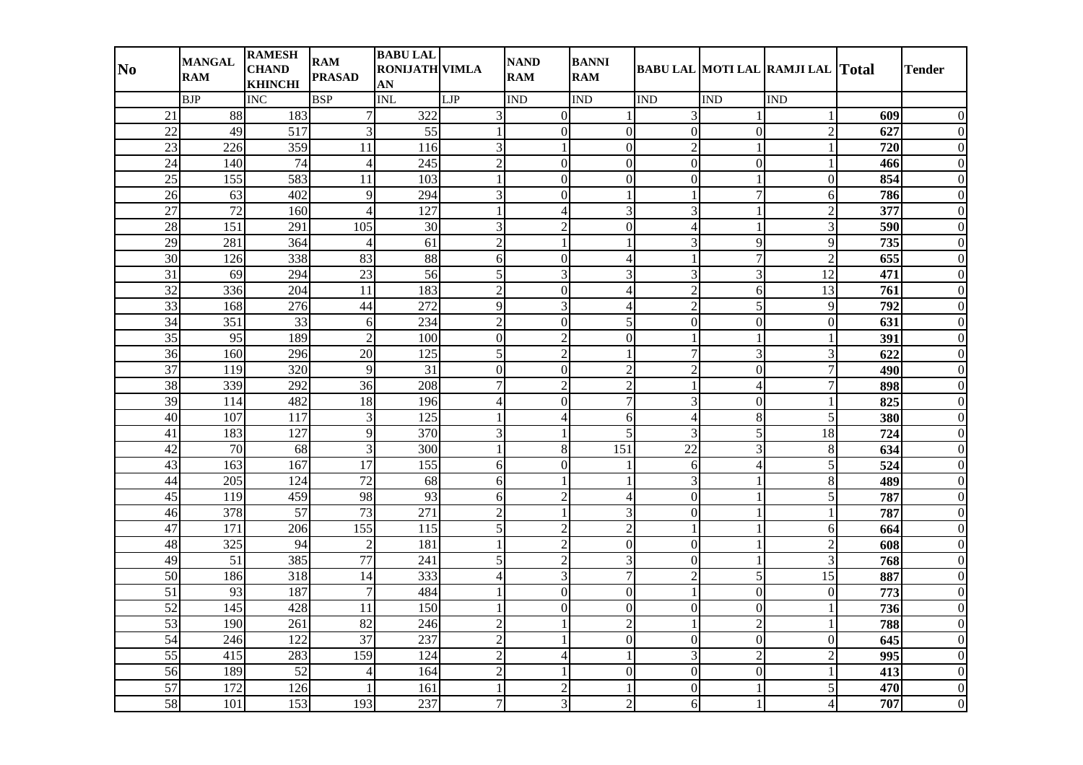| N <sub>0</sub>  | <b>MANGAL</b>    | <b>RAMESH</b><br><b>CHAND</b> | <b>RAM</b>      | <b>BABU LAL</b><br><b>RONIJATH VIMLA</b> |                  | <b>NAND</b>    | <b>BANNI</b>     |                  |                  | <b>BABU LAL MOTI LAL RAMJI LAL Total</b> |     | <b>Tender</b>    |
|-----------------|------------------|-------------------------------|-----------------|------------------------------------------|------------------|----------------|------------------|------------------|------------------|------------------------------------------|-----|------------------|
|                 | <b>RAM</b>       | <b>KHINCHI</b>                | <b>PRASAD</b>   | AN                                       |                  | <b>RAM</b>     | <b>RAM</b>       |                  |                  |                                          |     |                  |
|                 | <b>BJP</b>       | <b>INC</b>                    | <b>BSP</b>      | <b>INL</b>                               | LJP              | <b>IND</b>     | <b>IND</b>       | IND              | <b>IND</b>       | <b>IND</b>                               |     |                  |
| 21              | 88               | 183                           | $\tau$          | 322                                      | 3                | $\overline{0}$ |                  | 3                | $\mathbf{1}$     |                                          | 609 | $\Omega$         |
| $\overline{22}$ | 49               | $\overline{517}$              | 3               | 55                                       | $\mathbf{1}$     | $\overline{0}$ | $\overline{0}$   | $\mathbf{0}$     | $\mathbf{0}$     | $\overline{2}$                           | 627 | $\Omega$         |
| 23              | 226              | 359                           | 11              | 116                                      | 3                | 1              | $\overline{0}$   | $\overline{2}$   | $\mathbf{1}$     |                                          | 720 | $\Omega$         |
| 24              | 140              | 74                            | $\overline{4}$  | 245                                      | $\overline{2}$   | $\overline{0}$ | $\overline{0}$   | $\mathbf{0}$     | $\mathbf{0}$     |                                          | 466 | $\overline{0}$   |
| 25              | 155              | 583                           | 11              | 103                                      | $\mathbf{1}$     | $\overline{0}$ | $\overline{0}$   | $\mathbf{0}$     | $\mathbf{1}$     | $\mathbf{0}$                             | 854 | $\overline{0}$   |
| 26              | 63               | 402                           | 9               | 294                                      | 3                | $\overline{0}$ | $\mathbf{1}$     | $\mathbf{1}$     | $\overline{7}$   | 6                                        | 786 | $\overline{0}$   |
| 27              | 72               | 160                           | $\overline{4}$  | 127                                      | $\mathbf{1}$     | 4              | 3                | 3                | 1                | $\overline{2}$                           | 377 | $\overline{0}$   |
| 28              | 151              | 291                           | 105             | 30                                       | 3                | $\overline{2}$ | $\Omega$         | $\overline{4}$   | 1                | 3                                        | 590 | $\mathbf{0}$     |
| 29              | 281              | 364                           | $\overline{4}$  | 61                                       | $\overline{c}$   | $\mathbf{1}$   |                  | 3                | 9                | 9                                        | 735 | $\overline{0}$   |
| 30              | 126              | 338                           | 83              | 88                                       | 6                | $\overline{0}$ | $\overline{4}$   | $\mathbf{1}$     | $\overline{7}$   | $\overline{2}$                           | 655 | $\theta$         |
| 31              | 69               | 294                           | 23              | 56                                       | 5                | 3              | 3                | 3                | 3                | 12                                       | 471 | $\theta$         |
| 32              | 336              | 204                           | 11              | 183                                      | $\overline{2}$   | $\overline{0}$ | $\overline{4}$   | $\overline{2}$   | 6                | 13                                       | 761 | $\overline{0}$   |
| $\overline{33}$ | 168              | 276                           | 44              | 272                                      | 9                | 3              | $\overline{4}$   | $\overline{2}$   | 5                | 9                                        | 792 | $\overline{0}$   |
| 34              | 351              | 33                            | 6               | 234                                      | $\overline{2}$   | $\overline{0}$ | 5                | $\overline{0}$   | $\overline{0}$   | $\boldsymbol{0}$                         | 631 | $\overline{0}$   |
| 35              | 95               | 189                           | $\overline{2}$  | 100                                      | $\boldsymbol{0}$ | $\overline{2}$ | $\theta$         |                  | $\mathbf{1}$     | -1                                       | 391 | $\boldsymbol{0}$ |
| 36              | 160              | 296                           | 20              | 125                                      | 5                | $\overline{c}$ |                  | $\overline{7}$   | 3                | 3                                        | 622 | $\overline{0}$   |
| 37              | 119              | 320                           | 9               | $\overline{31}$                          | $\overline{0}$   | $\overline{0}$ | $\overline{c}$   | $\overline{2}$   | $\mathbf{0}$     | $\overline{7}$                           | 490 | $\overline{0}$   |
| 38              | 339              | 292                           | 36              | 208                                      | $\overline{7}$   | $\overline{2}$ | $\overline{2}$   | $\mathbf{1}$     | $\overline{4}$   | $\overline{7}$                           | 898 | $\Omega$         |
| 39              | 114              | 482                           | 18              | 196                                      | $\overline{4}$   | $\mathbf{0}$   | $\overline{7}$   | 3                | $\boldsymbol{0}$ | $\mathbf{1}$                             | 825 | $\overline{0}$   |
| $\overline{40}$ | 107              | 117                           | $\mathfrak{Z}$  | 125                                      | $\mathbf{1}$     | $\overline{4}$ | 6                | $\overline{4}$   | 8                | 5                                        | 380 | $\theta$         |
| 41              | 183              | 127                           | 9               | 370                                      | 3                | 1              | 5                | 3                | 5                | 18                                       | 724 | $\boldsymbol{0}$ |
| $\overline{42}$ | $\overline{70}$  | 68                            | 3               | 300                                      | $\mathbf{1}$     | $8\,$          | $\overline{151}$ | $\overline{22}$  | $\overline{3}$   | 8                                        | 634 | $\overline{0}$   |
| 43              | 163              | 167                           | 17              | 155                                      | 6                | $\mathbf{0}$   |                  | 6                | $\overline{4}$   | 5                                        | 524 | $\overline{0}$   |
| 44              | 205              | 124                           | 72              | 68                                       | 6                | 1              |                  | 3                | $\mathbf{1}$     | 8                                        | 489 | $\overline{0}$   |
| 45              | 119              | 459                           | 98              | 93                                       | 6                | $\overline{2}$ | 4                | $\boldsymbol{0}$ | $\mathbf{1}$     | 5                                        | 787 | $\overline{0}$   |
| 46              | 378              | $\overline{57}$               | $\overline{73}$ | 271                                      | $\overline{2}$   | $\mathbf{1}$   | 3                | $\mathbf{0}$     | $\mathbf{1}$     | $\mathbf{1}$                             | 787 | $\overline{0}$   |
| $\overline{47}$ | $\overline{171}$ | $\overline{206}$              | 155             | 115                                      | $\overline{5}$   | $\overline{c}$ | $\overline{2}$   | $\mathbf{1}$     | $\mathbf{1}$     | 6                                        | 664 | $\overline{0}$   |
| 48              | 325              | 94                            | $\overline{2}$  | 181                                      | $\mathbf{1}$     | $\overline{2}$ | $\overline{0}$   | $\mathbf{0}$     | $\mathbf{1}$     | $\overline{2}$                           | 608 | $\Omega$         |
| 49              | 51               | 385                           | 77              | 241                                      | 5                | $\overline{2}$ | 3                | $\mathbf{0}$     | $\mathbf{1}$     | 3                                        | 768 | 0                |
| $\overline{50}$ | 186              | 318                           | $\overline{14}$ | 333                                      | $\overline{4}$   | 3              | 7                | $\overline{2}$   | $\overline{5}$   | $\overline{15}$                          | 887 | $\theta$         |
| $\overline{51}$ | 93               | 187                           | $\overline{7}$  | 484                                      | $\mathbf{1}$     | $\overline{0}$ | $\boldsymbol{0}$ | $\mathbf{1}$     | $\boldsymbol{0}$ | $\boldsymbol{0}$                         | 773 | $\overline{0}$   |
| 52              | $\overline{145}$ | 428                           | $\overline{11}$ | $\overline{150}$                         | $\mathbf{1}$     | $\mathbf{0}$   | $\overline{0}$   | $\mathbf{0}$     | $\overline{0}$   | $\mathbf{1}$                             | 736 | $\overline{0}$   |
| $\overline{53}$ | 190              | $\overline{261}$              | $\overline{82}$ | 246                                      | $\overline{2}$   | $\mathbf{1}$   | $\overline{2}$   | $\mathbf{1}$     | $\overline{2}$   | $\mathbf{1}$                             | 788 | $\mathbf{0}$     |
| 54              | 246              | 122                           | 37              | 237                                      | $\overline{c}$   | $\mathbf{1}$   | $\overline{0}$   | $\mathbf{0}$     | $\mathbf{0}$     | $\mathbf{0}$                             | 645 | $\overline{0}$   |
| $\overline{55}$ | 415              | 283                           | 159             | 124                                      | $\overline{c}$   | $\overline{4}$ |                  | 3                | $\sqrt{2}$       | $\overline{2}$                           | 995 | $\overline{0}$   |
| 56              | 189              | 52                            | $\overline{4}$  | 164                                      | $\overline{c}$   | 1              | $\overline{0}$   | $\mathbf{0}$     | $\mathbf{0}$     |                                          | 413 | $\mathbf{0}$     |
| 57              | 172              | 126                           |                 | 161                                      | $\mathbf{1}$     | $\overline{2}$ |                  | $\Omega$         | $\mathbf{1}$     | 5                                        | 470 | $\overline{0}$   |
| 58              | 101              | 153                           | 193             | 237                                      | $\tau$           | $\overline{3}$ | $\overline{2}$   | 6                | $\mathbf{1}$     | $\overline{4}$                           | 707 | $\overline{0}$   |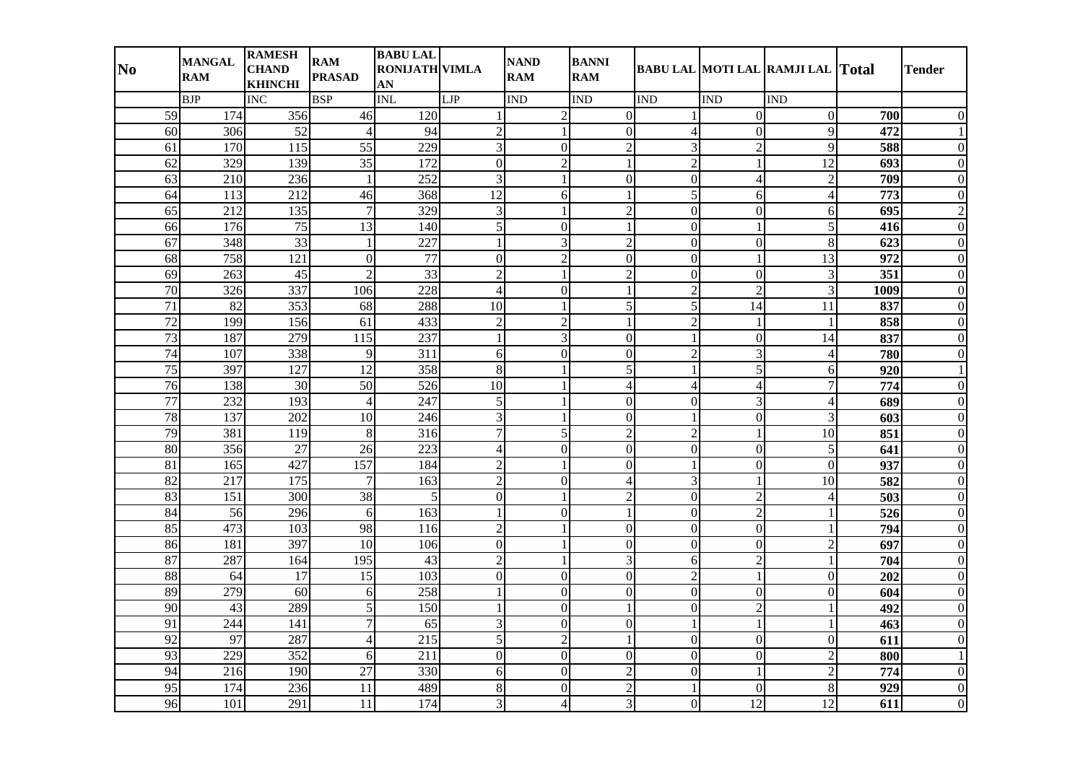| N <sub>0</sub>  | <b>MANGAL</b>    | <b>RAMESH</b><br><b>CHAND</b> | <b>RAM</b>      | <b>BABU LAL</b><br><b>RONIJATH VIMLA</b> |                  | <b>NAND</b>      | <b>BANNI</b>     |                  |                  | <b>BABU LAL MOTI LAL RAMJI LAL Total</b> |      | <b>Tender</b>    |
|-----------------|------------------|-------------------------------|-----------------|------------------------------------------|------------------|------------------|------------------|------------------|------------------|------------------------------------------|------|------------------|
|                 | <b>RAM</b>       | <b>KHINCHI</b>                | <b>PRASAD</b>   | AN                                       |                  | <b>RAM</b>       | <b>RAM</b>       |                  |                  |                                          |      |                  |
|                 | <b>BJP</b>       | <b>INC</b>                    | <b>BSP</b>      | <b>INL</b>                               | LJP              | <b>IND</b>       | <b>IND</b>       | IND              | <b>IND</b>       | <b>IND</b>                               |      |                  |
| 59              | 174              | 356                           | 46              | 120                                      | -1               | $\overline{c}$   | $\theta$         | $\mathbf{1}$     | $\mathbf{0}$     | $\mathbf{0}$                             | 700  | 0                |
| 60              | 306              | 52                            | $\overline{4}$  | 94                                       | $\overline{c}$   | 1                | $\overline{0}$   | $\overline{4}$   | $\overline{0}$   | 9                                        | 472  |                  |
| 61              | 170              | 115                           | 55              | 229                                      | 3                | $\overline{0}$   | $\overline{2}$   | 3                | $\overline{2}$   | 9                                        | 588  | $\theta$         |
| 62              | 329              | 139                           | $\overline{35}$ | 172                                      | $\overline{0}$   | $\overline{2}$   |                  | $\overline{2}$   | $\mathbf{1}$     | 12                                       | 693  | $\overline{0}$   |
| 63              | 210              | 236                           | $\mathbf{1}$    | 252                                      | 3                | 1                | $\overline{0}$   | $\mathbf{0}$     | $\overline{4}$   | $\overline{2}$                           | 709  | $\overline{0}$   |
| 64              | 113              | 212                           | 46              | 368                                      | 12               | 6                | $\mathbf{1}$     | 5                | 6                | $\overline{4}$                           | 773  | $\mathbf{0}$     |
| 65              | 212              | 135                           | $\overline{7}$  | 329                                      | 3                | 1                | $\overline{2}$   | $\overline{0}$   | $\overline{0}$   | 6                                        | 695  | $\overline{c}$   |
| 66              | 176              | 75                            | $\overline{13}$ | 140                                      | 5                | $\boldsymbol{0}$ |                  | $\boldsymbol{0}$ | $\mathbf{1}$     | 5                                        | 416  | $\overline{0}$   |
| 67              | 348              | 33                            | $\mathbf{1}$    | 227                                      | $\mathbf{1}$     | 3                | $\overline{2}$   | $\mathbf{0}$     | $\mathbf{0}$     | 8                                        | 623  | $\overline{0}$   |
| 68              | 758              | 121                           | $\overline{0}$  | 77                                       | $\overline{0}$   | $\overline{2}$   | $\overline{0}$   | $\mathbf{0}$     | $\mathbf{1}$     | 13                                       | 972  | $\overline{0}$   |
| 69              | 263              | 45                            | $\overline{2}$  | 33                                       | $\overline{c}$   | 1                | $\overline{2}$   | $\mathbf{0}$     | $\mathbf{0}$     | 3                                        | 351  | $\theta$         |
| 70              | 326              | 337                           | 106             | 228                                      | $\overline{4}$   | $\overline{0}$   | 1                | $\overline{2}$   | $\overline{2}$   | 3                                        | 1009 | $\overline{0}$   |
| $\overline{71}$ | 82               | 353                           | 68              | 288                                      | $\overline{10}$  | $\mathbf{1}$     | 5                | $\overline{5}$   | $\overline{14}$  | $\overline{11}$                          | 837  | $\overline{0}$   |
| $\overline{72}$ | 199              | 156                           | 61              | 433                                      | $\overline{c}$   | $\overline{2}$   |                  | $\overline{2}$   | 1                | -1                                       | 858  | $\overline{0}$   |
| 73              | 187              | 279                           | 115             | 237                                      | $\mathbf{1}$     | 3                | $\theta$         |                  | $\boldsymbol{0}$ | 14                                       | 837  | $\boldsymbol{0}$ |
| 74              | 107              | 338                           | 9               | 311                                      | 6                | $\overline{0}$   | $\mathbf{0}$     | $\overline{2}$   | 3                | $\overline{4}$                           | 780  | $\overline{0}$   |
| 75              | 397              | $\overline{127}$              | 12              | 358                                      | $\overline{8}$   | $\mathbf{1}$     | 5                | $\mathbf{1}$     | 5                | 6                                        | 920  |                  |
| 76              | 138              | 30                            | 50              | 526                                      | 10               | 1                | $\overline{4}$   | $\overline{4}$   | $\overline{4}$   | $\overline{7}$                           | 774  | $\Omega$         |
| 77              | 232              | 193                           | $\overline{4}$  | 247                                      | 5                | $\mathbf{1}$     | $\overline{0}$   | $\boldsymbol{0}$ | 3                | $\overline{4}$                           | 689  | $\overline{0}$   |
| 78              | 137              | 202                           | $\overline{10}$ | 246                                      | $\overline{3}$   | $\mathbf{1}$     | $\overline{0}$   | $\mathbf{1}$     | $\mathbf{0}$     | 3                                        | 603  | $\theta$         |
| 79              | 381              | 119                           | 8               | 316                                      | $\overline{7}$   | 5                | $\overline{2}$   | $\overline{2}$   | $\mathbf{1}$     | 10                                       | 851  | $\boldsymbol{0}$ |
| 80              | 356              | $\overline{27}$               | 26              | $\overline{223}$                         | $\overline{4}$   | $\overline{0}$   | $\overline{0}$   | $\mathbf{0}$     | $\mathbf{0}$     | 5                                        | 641  | $\overline{0}$   |
| 81              | 165              | 427                           | 157             | 184                                      | $\overline{c}$   | 1                | $\Omega$         |                  | $\boldsymbol{0}$ | $\boldsymbol{0}$                         | 937  | $\overline{0}$   |
| 82              | $\overline{217}$ | $\overline{175}$              | $\overline{7}$  | 163                                      | $\overline{2}$   | $\overline{0}$   | $\overline{4}$   | 3                | $\mathbf{1}$     | $\overline{10}$                          | 582  | $\overline{0}$   |
| 83              | 151              | 300                           | 38              | 5                                        | $\overline{0}$   | 1                | $\overline{2}$   | $\mathbf{0}$     | $\overline{c}$   | $\overline{4}$                           | 503  | $\overline{0}$   |
| 84              | 56               | 296                           | 6               | 163                                      | $\mathbf{1}$     | $\mathbf{0}$     | 1                | $\mathbf{0}$     | $\overline{2}$   | $\mathbf{1}$                             | 526  | $\overline{0}$   |
| 85              | 473              | $\overline{103}$              | 98              | 116                                      | $\overline{2}$   | $\mathbf{1}$     | $\overline{0}$   | $\mathbf{0}$     | $\mathbf{0}$     | $\mathbf{1}$                             | 794  | $\overline{0}$   |
| 86              | 181              | 397                           | 10              | 106                                      | $\overline{0}$   | 1                | $\overline{0}$   | $\mathbf{0}$     | $\boldsymbol{0}$ | $\overline{2}$                           | 697  | $\Omega$         |
| 87              | 287              | 164                           | 195             | 43                                       | $\overline{c}$   | $\mathbf{1}$     | 3                | 6                | $\overline{c}$   | $\mathbf{1}$                             | 704  | $\theta$         |
| 88              | 64               | 17                            | $\overline{15}$ | 103                                      | $\boldsymbol{0}$ | $\overline{0}$   | $\Omega$         | $\overline{2}$   | $\mathbf{1}$     | $\boldsymbol{0}$                         | 202  | $\theta$         |
| 89              | 279              | $\overline{60}$               | 6               | 258                                      | $\mathbf{1}$     | $\overline{0}$   | $\mathbf{0}$     | $\mathbf{0}$     | $\boldsymbol{0}$ | $\boldsymbol{0}$                         | 604  | $\overline{0}$   |
| $\overline{90}$ | $\overline{43}$  | 289                           | $\overline{5}$  | $\overline{150}$                         | $\mathbf{1}$     | $\overline{0}$   |                  | $\mathbf{0}$     | $\overline{2}$   | $\mathbf{1}$                             | 492  | $\overline{0}$   |
| 91              | 244              | 141                           | $\overline{7}$  | 65                                       | 3                | $\mathbf{0}$     | $\boldsymbol{0}$ | $\mathbf{1}$     | $\mathbf{1}$     | $\mathbf{1}$                             | 463  | $\mathbf{0}$     |
| 92              | 97               | 287                           | $\overline{4}$  | 215                                      | 5                | $\overline{2}$   | $\mathbf{1}$     | $\mathbf{0}$     | $\mathbf{0}$     | $\boldsymbol{0}$                         | 611  | $\overline{0}$   |
| 93              | 229              | 352                           | 6               | 211                                      | $\overline{0}$   | $\overline{0}$   | $\Omega$         | $\overline{0}$   | $\overline{0}$   | $\overline{2}$                           | 800  |                  |
| 94              | 216              | 190                           | 27              | 330                                      | 6                | $\overline{0}$   | $\overline{2}$   | $\mathbf{0}$     | $\mathbf{1}$     | $\overline{2}$                           | 774  | $\mathbf{0}$     |
| 95              | 174              | 236                           | 11              | 489                                      | 8                | $\mathbf{0}$     | $\overline{2}$   |                  | $\boldsymbol{0}$ | 8                                        | 929  | $\overline{0}$   |
| 96              | 101              | 291                           | 11              | 174                                      | 3                | $\overline{4}$   | 3                | $\mathbf{0}$     | 12               | 12                                       | 611  | $\overline{0}$   |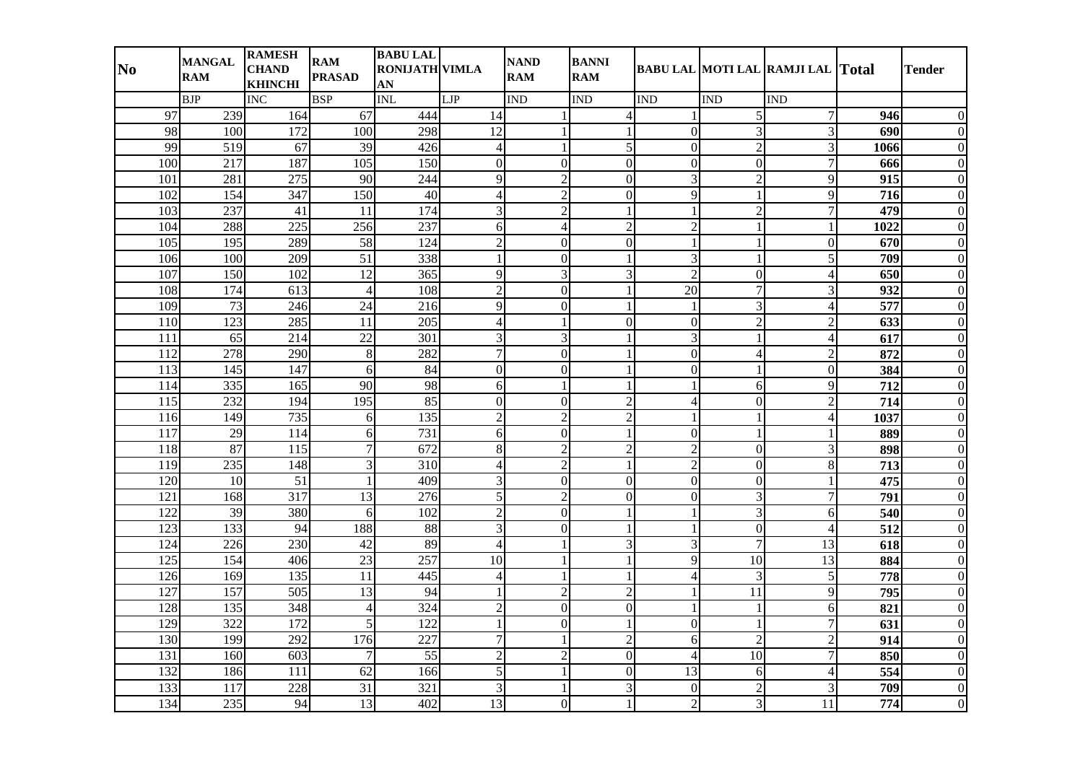|                  | <b>MANGAL</b>    | <b>RAMESH</b>                  | <b>RAM</b>       | <b>BABU LAL</b>       |                  | <b>NAND</b>    | <b>BANNI</b>   |                  |                  |                                          |      |                  |
|------------------|------------------|--------------------------------|------------------|-----------------------|------------------|----------------|----------------|------------------|------------------|------------------------------------------|------|------------------|
| N <sub>0</sub>   | <b>RAM</b>       | <b>CHAND</b><br><b>KHINCHI</b> | <b>PRASAD</b>    | <b>RONIJATH VIMLA</b> |                  | <b>RAM</b>     | <b>RAM</b>     |                  |                  | <b>BABU LAL MOTI LAL RAMJI LAL Total</b> |      | <b>Tender</b>    |
|                  | <b>BJP</b>       | <b>INC</b>                     | <b>BSP</b>       | AN<br><b>INL</b>      | LIP              | <b>IND</b>     | <b>IND</b>     | <b>IND</b>       | <b>IND</b>       | <b>IND</b>                               |      |                  |
| 97               | 239              | 164                            | 67               | 444                   | 14               |                | $\overline{4}$ | $\mathbf{1}$     | 5                | $\overline{7}$                           | 946  | $\theta$         |
| 98               | 100              | 172                            | 100              | 298                   | 12               | 1              |                | $\mathbf{0}$     | 3                | 3                                        | 690  | $\overline{0}$   |
| 99               | $\overline{519}$ | 67                             | 39               | 426                   | $\overline{4}$   | $\mathbf{1}$   | 5              | $\mathbf{0}$     | $\overline{2}$   | 3                                        | 1066 | $\overline{0}$   |
| 100              | 217              | 187                            | 105              | 150                   | $\overline{0}$   | $\overline{0}$ | $\overline{0}$ | $\mathbf{0}$     | $\mathbf{0}$     | $\overline{7}$                           | 666  | $\overline{0}$   |
| 101              | 281              | 275                            | 90               | 244                   | 9                | $\overline{2}$ | $\overline{0}$ | 3                | $\sqrt{2}$       | 9                                        | 915  | $\overline{0}$   |
| 102              | 154              | 347                            | 150              | 40                    | $\overline{4}$   | $\overline{2}$ | $\overline{0}$ | 9                | $\mathbf{1}$     | 9                                        | 716  | $\mathbf{0}$     |
| 103              | 237              | 41                             | 11               | 174                   | 3                | $\overline{c}$ |                |                  | $\overline{2}$   | $\overline{7}$                           | 479  | $\boldsymbol{0}$ |
| 104              | 288              | 225                            | 256              | 237                   | 6                | $\overline{4}$ | $\overline{c}$ | $\overline{2}$   | $\mathbf{1}$     | -1                                       | 1022 | $\overline{0}$   |
| 105              | 195              | 289                            | 58               | 124                   | $\overline{2}$   | $\overline{0}$ | $\overline{0}$ | $\mathbf{1}$     | $\mathbf{1}$     | $\overline{0}$                           | 670  | $\overline{0}$   |
| 106              | 100              | 209                            | 51               | 338                   | $\mathbf{1}$     | $\overline{0}$ |                | 3                | $\mathbf{1}$     | 5                                        | 709  | $\overline{0}$   |
| 107              | 150              | 102                            | 12               | 365                   | 9                | 3              | 3              | $\overline{2}$   | $\mathbf{0}$     | $\overline{4}$                           | 650  | $\theta$         |
| 108              | 174              | 613                            | $\overline{4}$   | 108                   | $\overline{c}$   | $\overline{0}$ |                | 20               | $\overline{7}$   | 3                                        | 932  | $\boldsymbol{0}$ |
| 109              | 73               | 246                            | 24               | 216                   | 9                | $\overline{0}$ |                | $\mathbf{1}$     | $\overline{3}$   | $\overline{4}$                           | 577  | $\overline{0}$   |
| 110              | 123              | 285                            | 11               | 205                   | $\overline{4}$   | 1              | $\theta$       | $\Omega$         | $\overline{2}$   | $\mathcal{D}$                            | 633  | $\theta$         |
| 111              | 65               | 214                            | 22               | 301                   | 3                | 3              |                | 3                | $\mathbf{1}$     | $\overline{4}$                           | 617  | $\overline{0}$   |
| 112              | 278              | 290                            | 8                | 282                   | $\overline{7}$   | $\overline{0}$ |                | $\mathbf{0}$     | $\overline{4}$   | $\overline{c}$                           | 872  | $\theta$         |
| 113              | 145              | 147                            | 6                | 84                    | $\boldsymbol{0}$ | $\overline{0}$ |                | $\boldsymbol{0}$ | $\mathbf{1}$     | $\boldsymbol{0}$                         | 384  | $\overline{0}$   |
| 114              | 335              | 165                            | 90               | 98                    | 6                | $\mathbf{1}$   |                | $\mathbf{1}$     | 6                | 9                                        | 712  | $\overline{0}$   |
| 115              | 232              | 194                            | 195              | 85                    | $\boldsymbol{0}$ | $\overline{0}$ | $\overline{2}$ | $\overline{4}$   | $\overline{0}$   | $\overline{2}$                           | 714  | $\overline{0}$   |
| 116              | 149              | 735                            | 6                | 135                   | $\overline{c}$   | $\overline{c}$ | $\overline{2}$ | $\mathbf{1}$     | $\mathbf{1}$     | $\overline{4}$                           | 1037 | $\overline{0}$   |
| 117              | 29               | 114                            | 6                | 731                   | 6                | $\overline{0}$ |                | $\Omega$         | 1                |                                          | 889  | $\theta$         |
| 118              | 87               | 115                            | $\boldsymbol{7}$ | 672                   | 8                | $\overline{c}$ | $\overline{c}$ | $\overline{2}$   | $\mathbf{0}$     | 3                                        | 898  | $\overline{0}$   |
| 119              | $\overline{235}$ | 148                            | $\overline{3}$   | $\overline{310}$      | $\overline{4}$   | $\overline{2}$ |                | $\overline{2}$   | $\overline{0}$   | 8                                        | 713  | $\overline{0}$   |
| 120              | 10               | $\overline{51}$                | $\mathbf{1}$     | 409                   | $\overline{3}$   | $\overline{0}$ | $\Omega$       | $\boldsymbol{0}$ | $\boldsymbol{0}$ | $\mathbf{1}$                             | 475  | $\overline{0}$   |
| 121              | 168              | 317                            | $\overline{13}$  | 276                   | 5                | $\overline{2}$ | $\overline{0}$ | $\mathbf{0}$     | 3                | $\overline{7}$                           | 791  | $\overline{0}$   |
| 122              | 39               | 380                            | 6                | 102                   | $\overline{c}$   | $\overline{0}$ | 1              | $\mathbf{1}$     | 3                | 6                                        | 540  | $\overline{0}$   |
| 123              | 133              | 94                             | 188              | 88                    | $\overline{3}$   | $\overline{0}$ |                | $\mathbf{1}$     | $\mathbf{0}$     | $\overline{4}$                           | 512  | $\overline{0}$   |
| 124              | 226              | $\overline{230}$               | 42               | 89                    | $\overline{4}$   |                | 3              | $\overline{3}$   | $\overline{7}$   | $\overline{13}$                          | 618  | $\Omega$         |
| 125              | 154              | 406                            | 23               | 257                   | 10               |                |                | 9                | 10               | 13                                       | 884  | $\theta$         |
| 126              | 169              | 135                            | 11               | 445                   | $\overline{4}$   | 1              |                | $\overline{4}$   | 3                | 5                                        | 778  | $\Omega$         |
| $\overline{127}$ | 157              | $\overline{505}$               | $\overline{13}$  | 94                    | $\mathbf{1}$     | $\overline{2}$ | $\overline{2}$ | $\mathbf{1}$     | 11               | 9                                        | 795  | $\overline{0}$   |
| 128              | 135              | 348                            | $\overline{4}$   | 324                   | $\overline{2}$   | $\overline{0}$ | $\overline{0}$ | $\mathbf{1}$     | $\mathbf{1}$     | 6                                        | 821  | $\overline{0}$   |
| 129              | 322              | 172                            | 5                | 122                   | $\mathbf{1}$     | $\overline{0}$ | 1              | $\boldsymbol{0}$ | $\mathbf{1}$     | $\overline{7}$                           | 631  | $\mathbf{0}$     |
| 130              | 199              | 292                            | 176              | 227                   | $\overline{7}$   | $\mathbf{1}$   | $\overline{c}$ | 6                | $\overline{c}$   | $\overline{2}$                           | 914  | $\overline{0}$   |
| 131              | 160              | 603                            | $\overline{7}$   | 55                    | $\overline{c}$   | $\overline{2}$ | $\Omega$       | $\overline{4}$   | 10               | $\overline{7}$                           | 850  | $\overline{0}$   |
| 132              | 186              | 111                            | 62               | 166                   | 5                | 1              | $\overline{0}$ | 13               | 6                | $\overline{4}$                           | 554  | $\mathbf{0}$     |
| 133              | 117              | 228                            | 31               | 321                   | 3                | 1              | 3              | $\mathbf{0}$     | $\overline{2}$   | 3                                        | 709  | $\overline{0}$   |
| 134              | 235              | 94                             | 13               | 402                   | 13               | $\overline{0}$ |                | $\overline{2}$   | 3                | 11                                       | 774  | $\overline{0}$   |